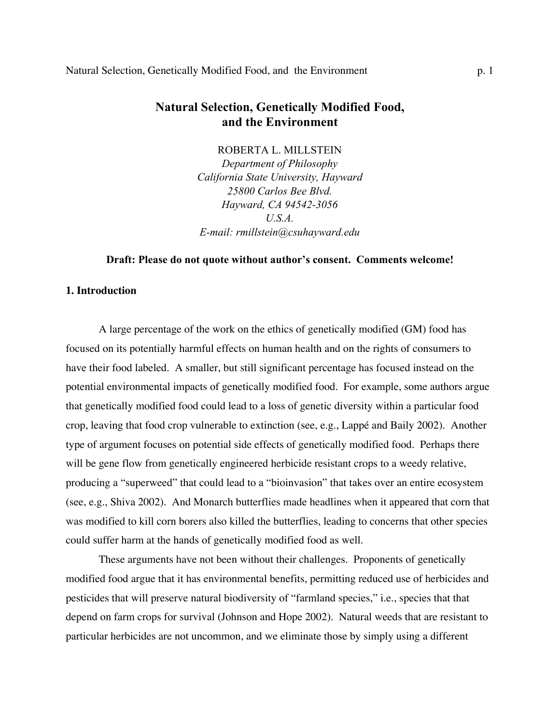# **Natural Selection, Genetically Modified Food, and the Environment**

ROBERTA L. MILLSTEIN

*Department of Philosophy California State University, Hayward 25800 Carlos Bee Blvd. Hayward, CA 94542-3056 U.S.A. E-mail: rmillstein@csuhayward.edu*

## **Draft: Please do not quote without author's consent. Comments welcome!**

#### **1. Introduction**

A large percentage of the work on the ethics of genetically modified (GM) food has focused on its potentially harmful effects on human health and on the rights of consumers to have their food labeled. A smaller, but still significant percentage has focused instead on the potential environmental impacts of genetically modified food. For example, some authors argue that genetically modified food could lead to a loss of genetic diversity within a particular food crop, leaving that food crop vulnerable to extinction (see, e.g., Lappé and Baily 2002). Another type of argument focuses on potential side effects of genetically modified food. Perhaps there will be gene flow from genetically engineered herbicide resistant crops to a weedy relative, producing a "superweed" that could lead to a "bioinvasion" that takes over an entire ecosystem (see, e.g., Shiva 2002). And Monarch butterflies made headlines when it appeared that corn that was modified to kill corn borers also killed the butterflies, leading to concerns that other species could suffer harm at the hands of genetically modified food as well.

These arguments have not been without their challenges. Proponents of genetically modified food argue that it has environmental benefits, permitting reduced use of herbicides and pesticides that will preserve natural biodiversity of "farmland species," i.e., species that that depend on farm crops for survival (Johnson and Hope 2002). Natural weeds that are resistant to particular herbicides are not uncommon, and we eliminate those by simply using a different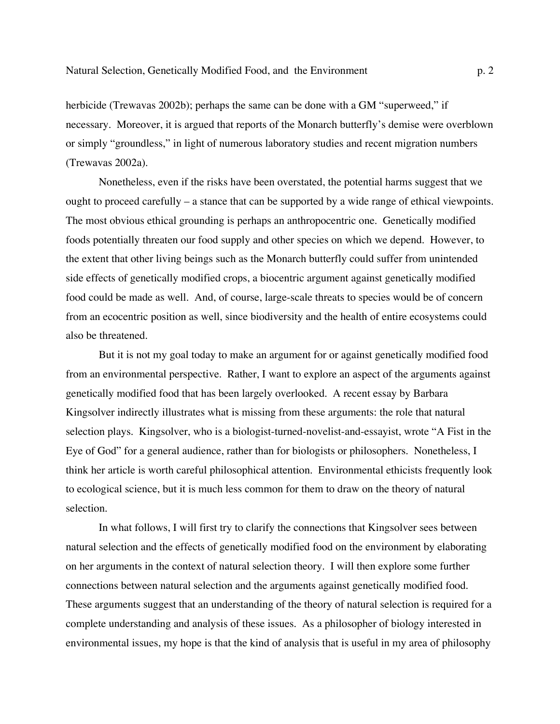herbicide (Trewavas 2002b); perhaps the same can be done with a GM "superweed," if necessary. Moreover, it is argued that reports of the Monarch butterfly's demise were overblown or simply "groundless," in light of numerous laboratory studies and recent migration numbers (Trewavas 2002a).

Nonetheless, even if the risks have been overstated, the potential harms suggest that we ought to proceed carefully – a stance that can be supported by a wide range of ethical viewpoints. The most obvious ethical grounding is perhaps an anthropocentric one. Genetically modified foods potentially threaten our food supply and other species on which we depend. However, to the extent that other living beings such as the Monarch butterfly could suffer from unintended side effects of genetically modified crops, a biocentric argument against genetically modified food could be made as well. And, of course, large-scale threats to species would be of concern from an ecocentric position as well, since biodiversity and the health of entire ecosystems could also be threatened.

But it is not my goal today to make an argument for or against genetically modified food from an environmental perspective. Rather, I want to explore an aspect of the arguments against genetically modified food that has been largely overlooked. A recent essay by Barbara Kingsolver indirectly illustrates what is missing from these arguments: the role that natural selection plays. Kingsolver, who is a biologist-turned-novelist-and-essayist, wrote "A Fist in the Eye of God" for a general audience, rather than for biologists or philosophers. Nonetheless, I think her article is worth careful philosophical attention. Environmental ethicists frequently look to ecological science, but it is much less common for them to draw on the theory of natural selection.

In what follows, I will first try to clarify the connections that Kingsolver sees between natural selection and the effects of genetically modified food on the environment by elaborating on her arguments in the context of natural selection theory. I will then explore some further connections between natural selection and the arguments against genetically modified food. These arguments suggest that an understanding of the theory of natural selection is required for a complete understanding and analysis of these issues. As a philosopher of biology interested in environmental issues, my hope is that the kind of analysis that is useful in my area of philosophy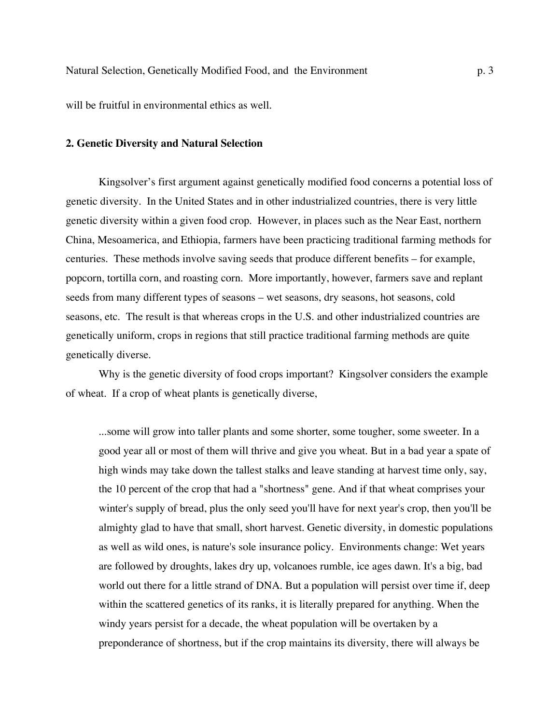will be fruitful in environmental ethics as well.

#### **2. Genetic Diversity and Natural Selection**

Kingsolver's first argument against genetically modified food concerns a potential loss of genetic diversity. In the United States and in other industrialized countries, there is very little genetic diversity within a given food crop. However, in places such as the Near East, northern China, Mesoamerica, and Ethiopia, farmers have been practicing traditional farming methods for centuries. These methods involve saving seeds that produce different benefits – for example, popcorn, tortilla corn, and roasting corn. More importantly, however, farmers save and replant seeds from many different types of seasons – wet seasons, dry seasons, hot seasons, cold seasons, etc. The result is that whereas crops in the U.S. and other industrialized countries are genetically uniform, crops in regions that still practice traditional farming methods are quite genetically diverse.

Why is the genetic diversity of food crops important? Kingsolver considers the example of wheat. If a crop of wheat plants is genetically diverse,

...some will grow into taller plants and some shorter, some tougher, some sweeter. In a good year all or most of them will thrive and give you wheat. But in a bad year a spate of high winds may take down the tallest stalks and leave standing at harvest time only, say, the 10 percent of the crop that had a "shortness" gene. And if that wheat comprises your winter's supply of bread, plus the only seed you'll have for next year's crop, then you'll be almighty glad to have that small, short harvest. Genetic diversity, in domestic populations as well as wild ones, is nature's sole insurance policy. Environments change: Wet years are followed by droughts, lakes dry up, volcanoes rumble, ice ages dawn. It's a big, bad world out there for a little strand of DNA. But a population will persist over time if, deep within the scattered genetics of its ranks, it is literally prepared for anything. When the windy years persist for a decade, the wheat population will be overtaken by a preponderance of shortness, but if the crop maintains its diversity, there will always be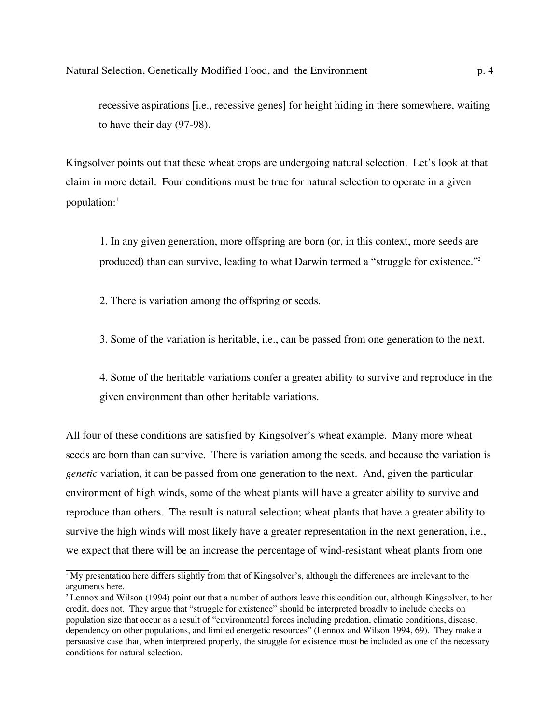recessive aspirations [i.e., recessive genes] for height hiding in there somewhere, waiting to have their day (97-98).

Kingsolver points out that these wheat crops are undergoing natural selection. Let's look at that claim in more detail. Four conditions must be true for natural selection to operate in a given population:<sup>1</sup>

1. In any given generation, more offspring are born (or, in this context, more seeds are produced) than can survive, leading to what Darwin termed a "struggle for existence."2

2. There is variation among the offspring or seeds.

3. Some of the variation is heritable, i.e., can be passed from one generation to the next.

4. Some of the heritable variations confer a greater ability to survive and reproduce in the given environment than other heritable variations.

All four of these conditions are satisfied by Kingsolver's wheat example. Many more wheat seeds are born than can survive. There is variation among the seeds, and because the variation is *genetic* variation, it can be passed from one generation to the next. And, given the particular environment of high winds, some of the wheat plants will have a greater ability to survive and reproduce than others. The result is natural selection; wheat plants that have a greater ability to survive the high winds will most likely have a greater representation in the next generation, i.e., we expect that there will be an increase the percentage of wind-resistant wheat plants from one

<sup>1</sup> My presentation here differs slightly from that of Kingsolver's, although the differences are irrelevant to the arguments here.

<sup>2</sup> Lennox and Wilson (1994) point out that a number of authors leave this condition out, although Kingsolver, to her credit, does not. They argue that "struggle for existence" should be interpreted broadly to include checks on population size that occur as a result of "environmental forces including predation, climatic conditions, disease, dependency on other populations, and limited energetic resources" (Lennox and Wilson 1994, 69). They make a persuasive case that, when interpreted properly, the struggle for existence must be included as one of the necessary conditions for natural selection.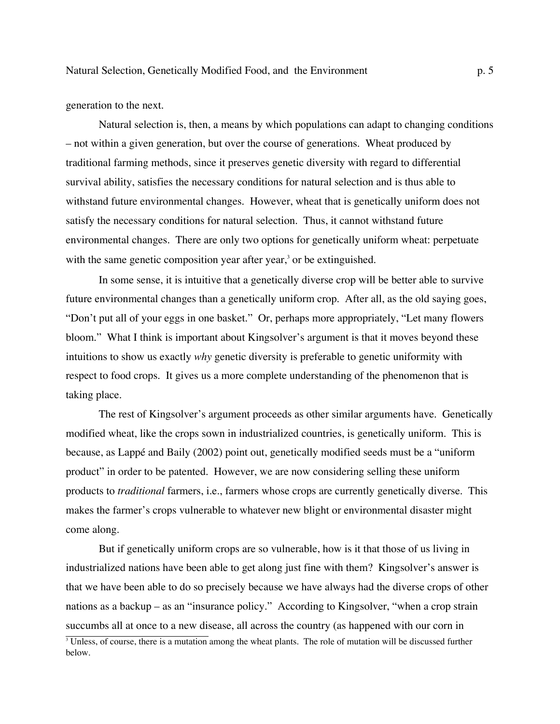generation to the next.

Natural selection is, then, a means by which populations can adapt to changing conditions – not within a given generation, but over the course of generations. Wheat produced by traditional farming methods, since it preserves genetic diversity with regard to differential survival ability, satisfies the necessary conditions for natural selection and is thus able to withstand future environmental changes. However, wheat that is genetically uniform does not satisfy the necessary conditions for natural selection. Thus, it cannot withstand future environmental changes. There are only two options for genetically uniform wheat: perpetuate with the same genetic composition year after year,<sup>3</sup> or be extinguished.

In some sense, it is intuitive that a genetically diverse crop will be better able to survive future environmental changes than a genetically uniform crop. After all, as the old saying goes, "Don't put all of your eggs in one basket." Or, perhaps more appropriately, "Let many flowers bloom." What I think is important about Kingsolver's argument is that it moves beyond these intuitions to show us exactly *why* genetic diversity is preferable to genetic uniformity with respect to food crops. It gives us a more complete understanding of the phenomenon that is taking place.

The rest of Kingsolver's argument proceeds as other similar arguments have. Genetically modified wheat, like the crops sown in industrialized countries, is genetically uniform. This is because, as Lappé and Baily (2002) point out, genetically modified seeds must be a "uniform product" in order to be patented. However, we are now considering selling these uniform products to *traditional* farmers, i.e., farmers whose crops are currently genetically diverse. This makes the farmer's crops vulnerable to whatever new blight or environmental disaster might come along.

But if genetically uniform crops are so vulnerable, how is it that those of us living in industrialized nations have been able to get along just fine with them? Kingsolver's answer is that we have been able to do so precisely because we have always had the diverse crops of other nations as a backup – as an "insurance policy." According to Kingsolver, "when a crop strain succumbs all at once to a new disease, all across the country (as happened with our corn in

<sup>&</sup>lt;sup>3</sup> Unless, of course, there is a mutation among the wheat plants. The role of mutation will be discussed further below.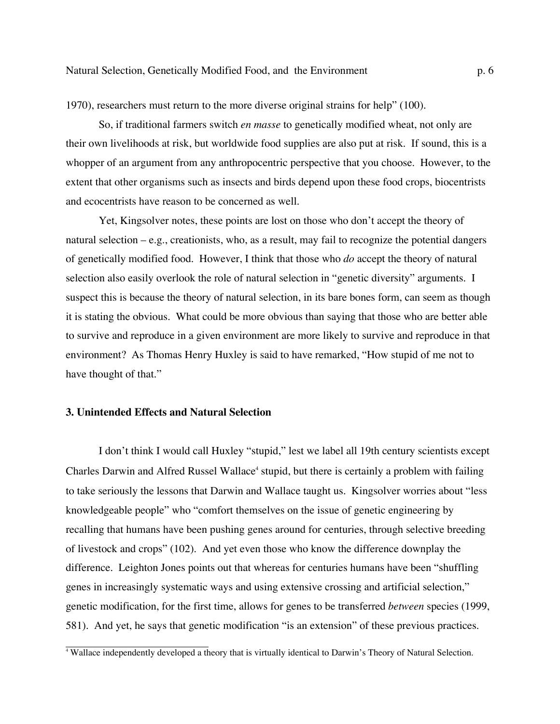1970), researchers must return to the more diverse original strains for help" (100).

So, if traditional farmers switch *en masse* to genetically modified wheat, not only are their own livelihoods at risk, but worldwide food supplies are also put at risk. If sound, this is a whopper of an argument from any anthropocentric perspective that you choose. However, to the extent that other organisms such as insects and birds depend upon these food crops, biocentrists and ecocentrists have reason to be concerned as well.

Yet, Kingsolver notes, these points are lost on those who don't accept the theory of natural selection – e.g., creationists, who, as a result, may fail to recognize the potential dangers of genetically modified food. However, I think that those who *do* accept the theory of natural selection also easily overlook the role of natural selection in "genetic diversity" arguments. I suspect this is because the theory of natural selection, in its bare bones form, can seem as though it is stating the obvious. What could be more obvious than saying that those who are better able to survive and reproduce in a given environment are more likely to survive and reproduce in that environment? As Thomas Henry Huxley is said to have remarked, "How stupid of me not to have thought of that."

## **3. Unintended Effects and Natural Selection**

I don't think I would call Huxley "stupid," lest we label all 19th century scientists except Charles Darwin and Alfred Russel Wallace<sup>4</sup> stupid, but there is certainly a problem with failing to take seriously the lessons that Darwin and Wallace taught us. Kingsolver worries about "less knowledgeable people" who "comfort themselves on the issue of genetic engineering by recalling that humans have been pushing genes around for centuries, through selective breeding of livestock and crops" (102). And yet even those who know the difference downplay the difference. Leighton Jones points out that whereas for centuries humans have been "shuffling genes in increasingly systematic ways and using extensive crossing and artificial selection," genetic modification, for the first time, allows for genes to be transferred *between* species (1999, 581). And yet, he says that genetic modification "is an extension" of these previous practices.

<sup>4</sup> Wallace independently developed a theory that is virtually identical to Darwin's Theory of Natural Selection.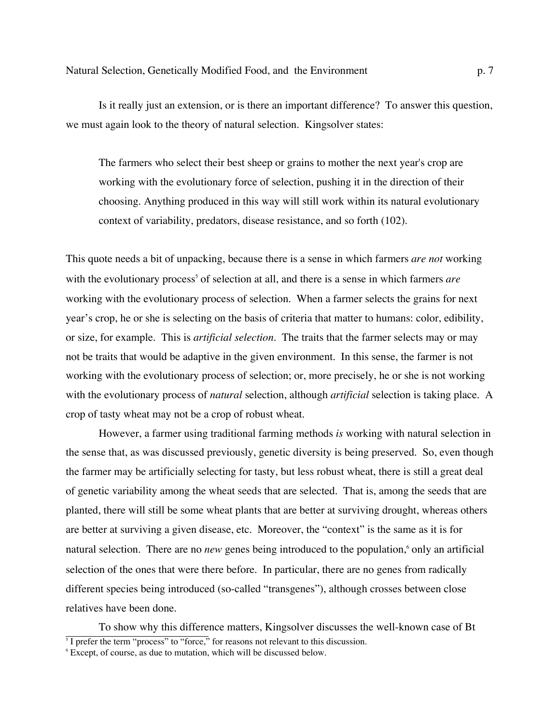Is it really just an extension, or is there an important difference? To answer this question, we must again look to the theory of natural selection. Kingsolver states:

The farmers who select their best sheep or grains to mother the next year's crop are working with the evolutionary force of selection, pushing it in the direction of their choosing. Anything produced in this way will still work within its natural evolutionary context of variability, predators, disease resistance, and so forth (102).

This quote needs a bit of unpacking, because there is a sense in which farmers *are not* working with the evolutionary process<sup>5</sup> of selection at all, and there is a sense in which farmers *are* working with the evolutionary process of selection. When a farmer selects the grains for next year's crop, he or she is selecting on the basis of criteria that matter to humans: color, edibility, or size, for example. This is *artificial selection*. The traits that the farmer selects may or may not be traits that would be adaptive in the given environment. In this sense, the farmer is not working with the evolutionary process of selection; or, more precisely, he or she is not working with the evolutionary process of *natural* selection, although *artificial* selection is taking place. A crop of tasty wheat may not be a crop of robust wheat.

However, a farmer using traditional farming methods *is* working with natural selection in the sense that, as was discussed previously, genetic diversity is being preserved. So, even though the farmer may be artificially selecting for tasty, but less robust wheat, there is still a great deal of genetic variability among the wheat seeds that are selected. That is, among the seeds that are planted, there will still be some wheat plants that are better at surviving drought, whereas others are better at surviving a given disease, etc. Moreover, the "context" is the same as it is for natural selection. There are no *new* genes being introduced to the population,<sup>6</sup> only an artificial selection of the ones that were there before. In particular, there are no genes from radically different species being introduced (so-called "transgenes"), although crosses between close relatives have been done.

To show why this difference matters, Kingsolver discusses the well-known case of Bt 5  $\frac{1}{1}$  prefer the term "process" to "force," for reasons not relevant to this discussion.

<sup>6</sup> Except, of course, as due to mutation, which will be discussed below.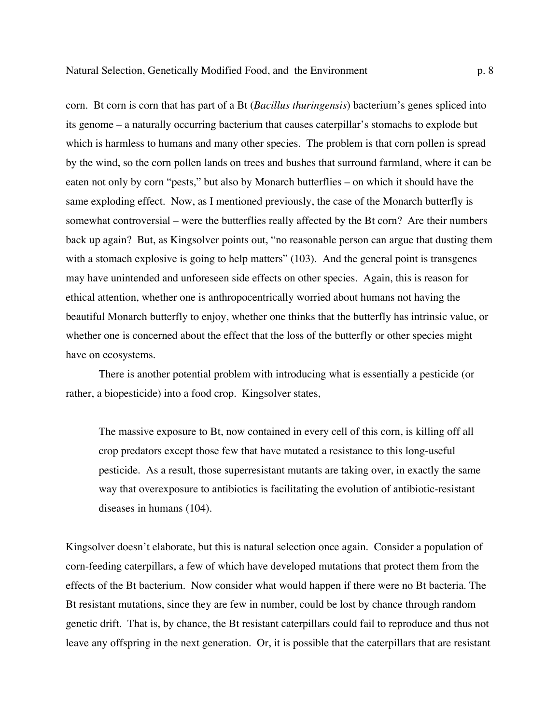corn. Bt corn is corn that has part of a Bt (*Bacillus thuringensis*) bacterium's genes spliced into its genome – a naturally occurring bacterium that causes caterpillar's stomachs to explode but which is harmless to humans and many other species. The problem is that corn pollen is spread by the wind, so the corn pollen lands on trees and bushes that surround farmland, where it can be eaten not only by corn "pests," but also by Monarch butterflies – on which it should have the same exploding effect. Now, as I mentioned previously, the case of the Monarch butterfly is somewhat controversial – were the butterflies really affected by the Bt corn? Are their numbers back up again? But, as Kingsolver points out, "no reasonable person can argue that dusting them with a stomach explosive is going to help matters" (103). And the general point is transgenes may have unintended and unforeseen side effects on other species. Again, this is reason for ethical attention, whether one is anthropocentrically worried about humans not having the beautiful Monarch butterfly to enjoy, whether one thinks that the butterfly has intrinsic value, or whether one is concerned about the effect that the loss of the butterfly or other species might have on ecosystems.

There is another potential problem with introducing what is essentially a pesticide (or rather, a biopesticide) into a food crop. Kingsolver states,

The massive exposure to Bt, now contained in every cell of this corn, is killing off all crop predators except those few that have mutated a resistance to this long-useful pesticide. As a result, those superresistant mutants are taking over, in exactly the same way that overexposure to antibiotics is facilitating the evolution of antibiotic-resistant diseases in humans (104).

Kingsolver doesn't elaborate, but this is natural selection once again. Consider a population of corn-feeding caterpillars, a few of which have developed mutations that protect them from the effects of the Bt bacterium. Now consider what would happen if there were no Bt bacteria. The Bt resistant mutations, since they are few in number, could be lost by chance through random genetic drift. That is, by chance, the Bt resistant caterpillars could fail to reproduce and thus not leave any offspring in the next generation. Or, it is possible that the caterpillars that are resistant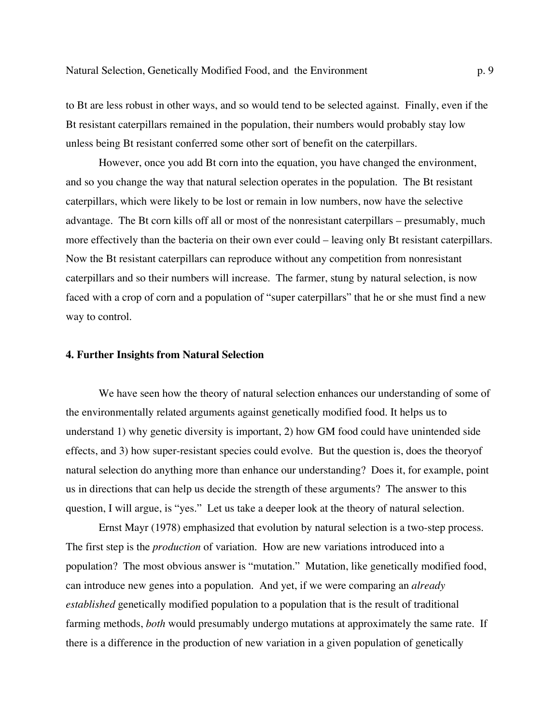to Bt are less robust in other ways, and so would tend to be selected against. Finally, even if the Bt resistant caterpillars remained in the population, their numbers would probably stay low unless being Bt resistant conferred some other sort of benefit on the caterpillars.

However, once you add Bt corn into the equation, you have changed the environment, and so you change the way that natural selection operates in the population. The Bt resistant caterpillars, which were likely to be lost or remain in low numbers, now have the selective advantage. The Bt corn kills off all or most of the nonresistant caterpillars – presumably, much more effectively than the bacteria on their own ever could – leaving only Bt resistant caterpillars. Now the Bt resistant caterpillars can reproduce without any competition from nonresistant caterpillars and so their numbers will increase. The farmer, stung by natural selection, is now faced with a crop of corn and a population of "super caterpillars" that he or she must find a new way to control.

#### **4. Further Insights from Natural Selection**

We have seen how the theory of natural selection enhances our understanding of some of the environmentally related arguments against genetically modified food. It helps us to understand 1) why genetic diversity is important, 2) how GM food could have unintended side effects, and 3) how super-resistant species could evolve. But the question is, does the theoryof natural selection do anything more than enhance our understanding? Does it, for example, point us in directions that can help us decide the strength of these arguments? The answer to this question, I will argue, is "yes." Let us take a deeper look at the theory of natural selection.

Ernst Mayr (1978) emphasized that evolution by natural selection is a two-step process. The first step is the *production* of variation. How are new variations introduced into a population? The most obvious answer is "mutation." Mutation, like genetically modified food, can introduce new genes into a population. And yet, if we were comparing an *already established* genetically modified population to a population that is the result of traditional farming methods, *both* would presumably undergo mutations at approximately the same rate. If there is a difference in the production of new variation in a given population of genetically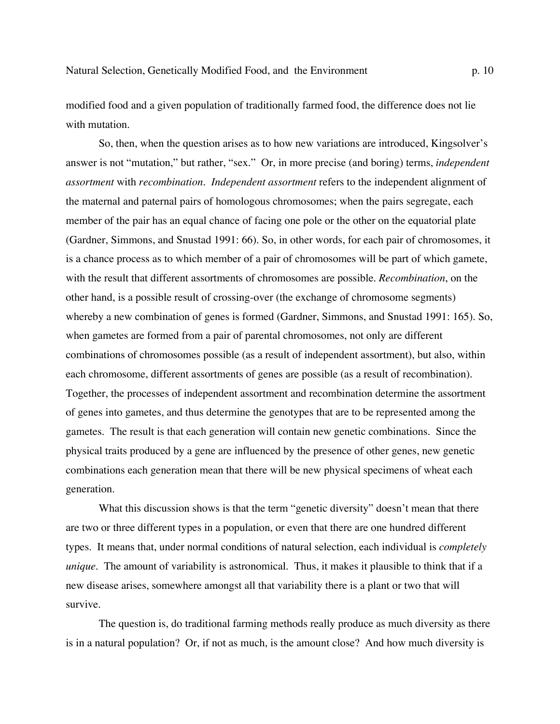modified food and a given population of traditionally farmed food, the difference does not lie with mutation.

So, then, when the question arises as to how new variations are introduced, Kingsolver's answer is not "mutation," but rather, "sex." Or, in more precise (and boring) terms, *independent assortment* with *recombination. Independent assortment* refers to the independent alignment of the maternal and paternal pairs of homologous chromosomes; when the pairs segregate, each member of the pair has an equal chance of facing one pole or the other on the equatorial plate (Gardner, Simmons, and Snustad 1991: 66). So, in other words, for each pair of chromosomes, it is a chance process as to which member of a pair of chromosomes will be part of which gamete, with the result that different assortments of chromosomes are possible. *Recombination*, on the other hand, is a possible result of crossing-over (the exchange of chromosome segments) whereby a new combination of genes is formed (Gardner, Simmons, and Snustad 1991: 165). So, when gametes are formed from a pair of parental chromosomes, not only are different combinations of chromosomes possible (as a result of independent assortment), but also, within each chromosome, different assortments of genes are possible (as a result of recombination). Together, the processes of independent assortment and recombination determine the assortment of genes into gametes, and thus determine the genotypes that are to be represented among the gametes. The result is that each generation will contain new genetic combinations. Since the physical traits produced by a gene are influenced by the presence of other genes, new genetic combinations each generation mean that there will be new physical specimens of wheat each generation.

What this discussion shows is that the term "genetic diversity" doesn't mean that there are two or three different types in a population, or even that there are one hundred different types. It means that, under normal conditions of natural selection, each individual is *completely unique*. The amount of variability is astronomical. Thus, it makes it plausible to think that if a new disease arises, somewhere amongst all that variability there is a plant or two that will survive.

The question is, do traditional farming methods really produce as much diversity as there is in a natural population? Or, if not as much, is the amount close? And how much diversity is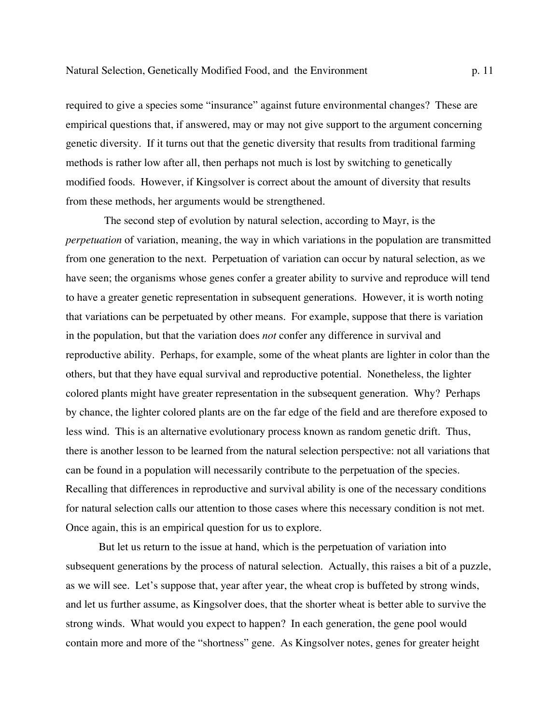required to give a species some "insurance" against future environmental changes? These are empirical questions that, if answered, may or may not give support to the argument concerning genetic diversity. If it turns out that the genetic diversity that results from traditional farming methods is rather low after all, then perhaps not much is lost by switching to genetically modified foods. However, if Kingsolver is correct about the amount of diversity that results from these methods, her arguments would be strengthened.

 The second step of evolution by natural selection, according to Mayr, is the *perpetuation* of variation, meaning, the way in which variations in the population are transmitted from one generation to the next. Perpetuation of variation can occur by natural selection, as we have seen; the organisms whose genes confer a greater ability to survive and reproduce will tend to have a greater genetic representation in subsequent generations. However, it is worth noting that variations can be perpetuated by other means. For example, suppose that there is variation in the population, but that the variation does *not* confer any difference in survival and reproductive ability. Perhaps, for example, some of the wheat plants are lighter in color than the others, but that they have equal survival and reproductive potential. Nonetheless, the lighter colored plants might have greater representation in the subsequent generation. Why? Perhaps by chance, the lighter colored plants are on the far edge of the field and are therefore exposed to less wind. This is an alternative evolutionary process known as random genetic drift. Thus, there is another lesson to be learned from the natural selection perspective: not all variations that can be found in a population will necessarily contribute to the perpetuation of the species. Recalling that differences in reproductive and survival ability is one of the necessary conditions for natural selection calls our attention to those cases where this necessary condition is not met. Once again, this is an empirical question for us to explore.

But let us return to the issue at hand, which is the perpetuation of variation into subsequent generations by the process of natural selection. Actually, this raises a bit of a puzzle, as we will see. Let's suppose that, year after year, the wheat crop is buffeted by strong winds, and let us further assume, as Kingsolver does, that the shorter wheat is better able to survive the strong winds. What would you expect to happen? In each generation, the gene pool would contain more and more of the "shortness" gene. As Kingsolver notes, genes for greater height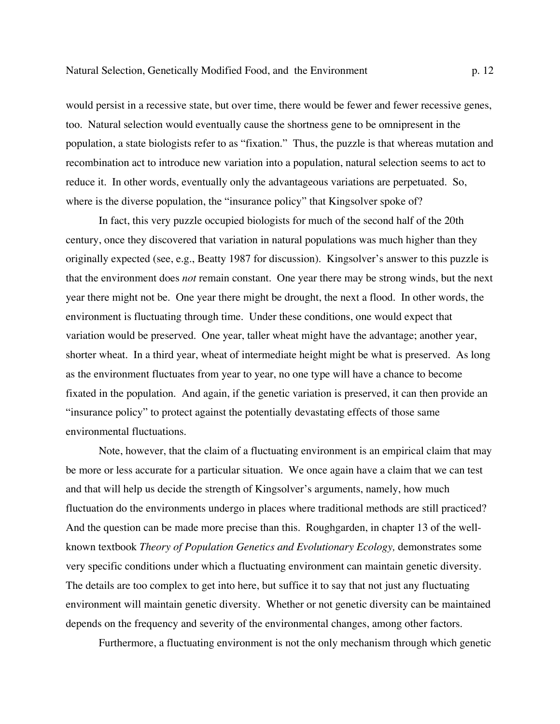would persist in a recessive state, but over time, there would be fewer and fewer recessive genes, too. Natural selection would eventually cause the shortness gene to be omnipresent in the population, a state biologists refer to as "fixation." Thus, the puzzle is that whereas mutation and recombination act to introduce new variation into a population, natural selection seems to act to reduce it. In other words, eventually only the advantageous variations are perpetuated. So, where is the diverse population, the "insurance policy" that Kingsolver spoke of?

In fact, this very puzzle occupied biologists for much of the second half of the 20th century, once they discovered that variation in natural populations was much higher than they originally expected (see, e.g., Beatty 1987 for discussion). Kingsolver's answer to this puzzle is that the environment does *not* remain constant. One year there may be strong winds, but the next year there might not be. One year there might be drought, the next a flood. In other words, the environment is fluctuating through time. Under these conditions, one would expect that variation would be preserved. One year, taller wheat might have the advantage; another year, shorter wheat. In a third year, wheat of intermediate height might be what is preserved. As long as the environment fluctuates from year to year, no one type will have a chance to become fixated in the population. And again, if the genetic variation is preserved, it can then provide an "insurance policy" to protect against the potentially devastating effects of those same environmental fluctuations.

Note, however, that the claim of a fluctuating environment is an empirical claim that may be more or less accurate for a particular situation. We once again have a claim that we can test and that will help us decide the strength of Kingsolver's arguments, namely, how much fluctuation do the environments undergo in places where traditional methods are still practiced? And the question can be made more precise than this. Roughgarden, in chapter 13 of the wellknown textbook *Theory of Population Genetics and Evolutionary Ecology,* demonstrates some very specific conditions under which a fluctuating environment can maintain genetic diversity. The details are too complex to get into here, but suffice it to say that not just any fluctuating environment will maintain genetic diversity. Whether or not genetic diversity can be maintained depends on the frequency and severity of the environmental changes, among other factors.

Furthermore, a fluctuating environment is not the only mechanism through which genetic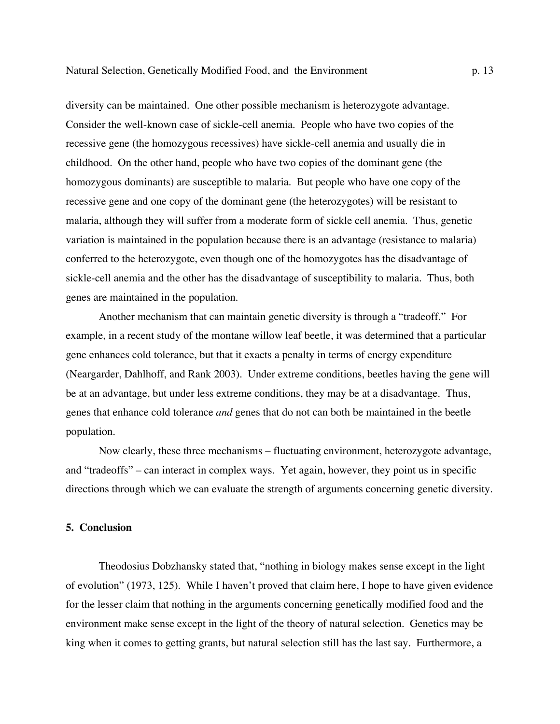diversity can be maintained. One other possible mechanism is heterozygote advantage. Consider the well-known case of sickle-cell anemia. People who have two copies of the recessive gene (the homozygous recessives) have sickle-cell anemia and usually die in childhood. On the other hand, people who have two copies of the dominant gene (the homozygous dominants) are susceptible to malaria. But people who have one copy of the recessive gene and one copy of the dominant gene (the heterozygotes) will be resistant to malaria, although they will suffer from a moderate form of sickle cell anemia. Thus, genetic variation is maintained in the population because there is an advantage (resistance to malaria) conferred to the heterozygote, even though one of the homozygotes has the disadvantage of sickle-cell anemia and the other has the disadvantage of susceptibility to malaria. Thus, both genes are maintained in the population.

Another mechanism that can maintain genetic diversity is through a "tradeoff." For example, in a recent study of the montane willow leaf beetle, it was determined that a particular gene enhances cold tolerance, but that it exacts a penalty in terms of energy expenditure (Neargarder, Dahlhoff, and Rank 2003). Under extreme conditions, beetles having the gene will be at an advantage, but under less extreme conditions, they may be at a disadvantage. Thus, genes that enhance cold tolerance *and* genes that do not can both be maintained in the beetle population.

Now clearly, these three mechanisms – fluctuating environment, heterozygote advantage, and "tradeoffs" – can interact in complex ways. Yet again, however, they point us in specific directions through which we can evaluate the strength of arguments concerning genetic diversity.

# **5. Conclusion**

Theodosius Dobzhansky stated that, "nothing in biology makes sense except in the light of evolution" (1973, 125). While I haven't proved that claim here, I hope to have given evidence for the lesser claim that nothing in the arguments concerning genetically modified food and the environment make sense except in the light of the theory of natural selection. Genetics may be king when it comes to getting grants, but natural selection still has the last say. Furthermore, a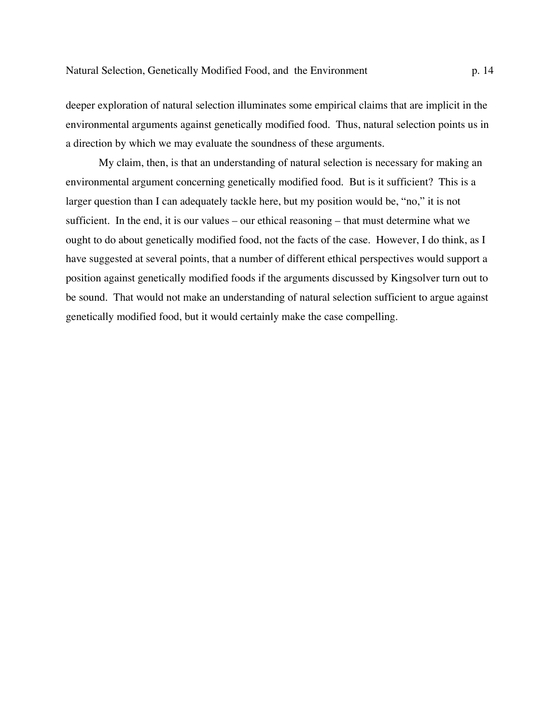deeper exploration of natural selection illuminates some empirical claims that are implicit in the environmental arguments against genetically modified food. Thus, natural selection points us in a direction by which we may evaluate the soundness of these arguments.

My claim, then, is that an understanding of natural selection is necessary for making an environmental argument concerning genetically modified food. But is it sufficient? This is a larger question than I can adequately tackle here, but my position would be, "no," it is not sufficient. In the end, it is our values – our ethical reasoning – that must determine what we ought to do about genetically modified food, not the facts of the case. However, I do think, as I have suggested at several points, that a number of different ethical perspectives would support a position against genetically modified foods if the arguments discussed by Kingsolver turn out to be sound. That would not make an understanding of natural selection sufficient to argue against genetically modified food, but it would certainly make the case compelling.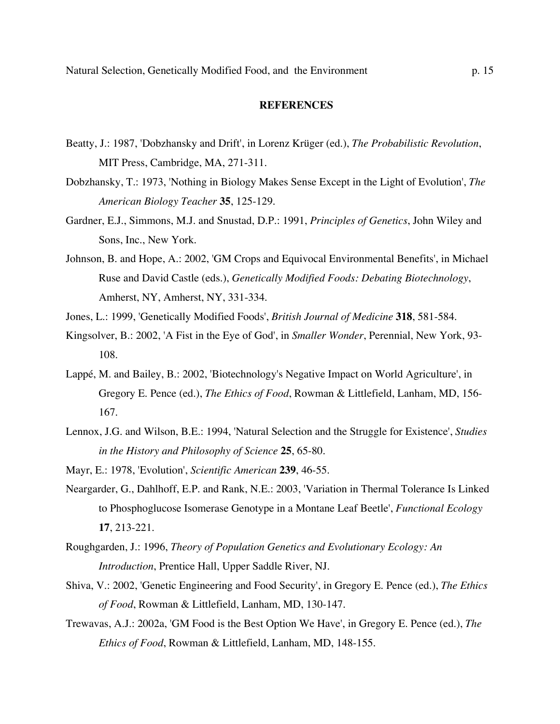#### **REFERENCES**

- Beatty, J.: 1987, 'Dobzhansky and Drift', in Lorenz Krüger (ed.), *The Probabilistic Revolution*, MIT Press, Cambridge, MA, 271-311.
- Dobzhansky, T.: 1973, 'Nothing in Biology Makes Sense Except in the Light of Evolution', *The American Biology Teacher* **35**, 125-129.
- Gardner, E.J., Simmons, M.J. and Snustad, D.P.: 1991, *Principles of Genetics*, John Wiley and Sons, Inc., New York.
- Johnson, B. and Hope, A.: 2002, 'GM Crops and Equivocal Environmental Benefits', in Michael Ruse and David Castle (eds.), *Genetically Modified Foods: Debating Biotechnology*, Amherst, NY, Amherst, NY, 331-334.
- Jones, L.: 1999, 'Genetically Modified Foods', *British Journal of Medicine* **318**, 581-584.
- Kingsolver, B.: 2002, 'A Fist in the Eye of God', in *Smaller Wonder*, Perennial, New York, 93- 108.
- Lappé, M. and Bailey, B.: 2002, 'Biotechnology's Negative Impact on World Agriculture', in Gregory E. Pence (ed.), *The Ethics of Food*, Rowman & Littlefield, Lanham, MD, 156- 167.
- Lennox, J.G. and Wilson, B.E.: 1994, 'Natural Selection and the Struggle for Existence', *Studies in the History and Philosophy of Science* **25**, 65-80.
- Mayr, E.: 1978, 'Evolution', *Scientific American* **239**, 46-55.
- Neargarder, G., Dahlhoff, E.P. and Rank, N.E.: 2003, 'Variation in Thermal Tolerance Is Linked to Phosphoglucose Isomerase Genotype in a Montane Leaf Beetle', *Functional Ecology*  **17**, 213-221.
- Roughgarden, J.: 1996, *Theory of Population Genetics and Evolutionary Ecology: An Introduction*, Prentice Hall, Upper Saddle River, NJ.
- Shiva, V.: 2002, 'Genetic Engineering and Food Security', in Gregory E. Pence (ed.), *The Ethics of Food*, Rowman & Littlefield, Lanham, MD, 130-147.
- Trewavas, A.J.: 2002a, 'GM Food is the Best Option We Have', in Gregory E. Pence (ed.), *The Ethics of Food*, Rowman & Littlefield, Lanham, MD, 148-155.